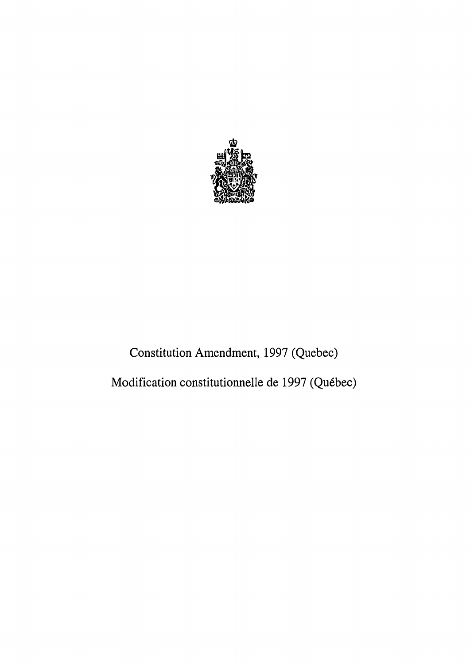

Constitution Amendment, 1997 (Quebec)

Modification constitutionnelle de 1997 (Quebec)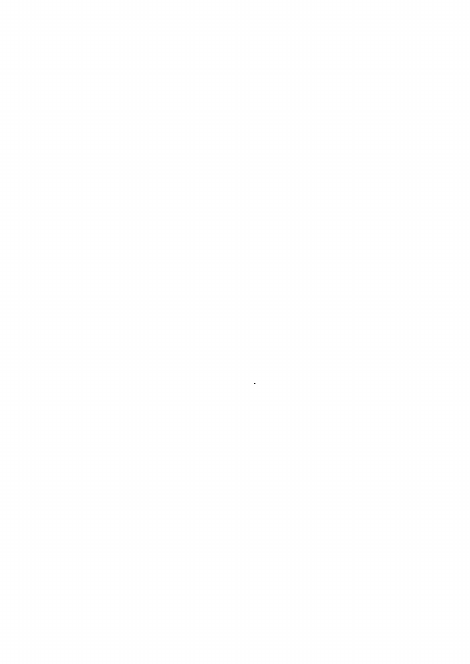$\label{eq:2.1} \frac{1}{\sqrt{2\pi}}\int_{0}^{\pi}\frac{1}{\sqrt{2\pi}}\left(\frac{1}{\sqrt{2\pi}}\right)^{2}d\mu\,d\mu\,.$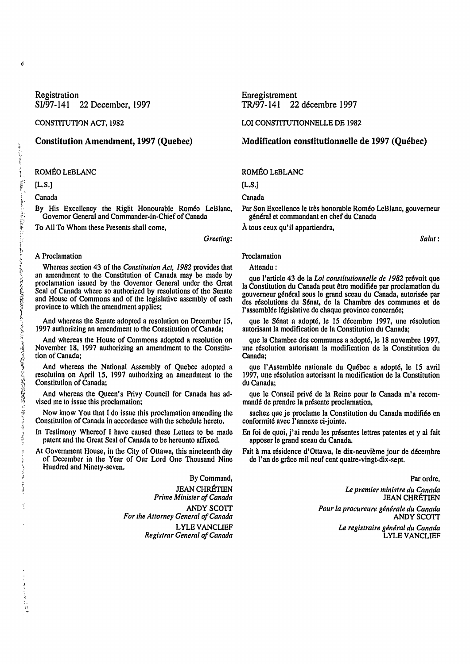Registration<br>SI/97-141 **SI/97-141** 22 December, **1997**

CONSTITUTION **ACT, 1982**

# **Constitution Amendment, 1997 (Quebec)**

ROMÉO LEBLANC

[L.S.]

Canada

**By** His Excellency the Right Honourable Romeo LeBlanc, Governor General and Commander-in-Chief of Canada

To All To Whom these Presents shall come,

Greeting:

## A Proclamation

Whereas section 43 of the *Constitution Act, 1982* provides that an amendment to the Constitution of Canada may be made by values and By His Excellency the Right Honourable Roméo LeBlanc,<br>
F. S.]<br>
Canada<br>
By His Excellency the Right Honourable Roméo LeBlanc,<br>
Governor General and Commander-in-Chief of Canada<br>
To All To Whom these Presents shal Seal of Canada where so authorized by resolutions of the Senate and House of Commons and of the legislative assembly of each province to which the amendment applies;

And whereas the Senate adopted a resolution on December 15, 1997 authorizing an amendment to the Constitution of Canada;

And whereas the House of Commons adopted a resolution on November **18,** 1997 authorizing an amendment to the Constitu- **%** tion of Canada;

And whereas the National Assembly of Quebec adopted a resolution on April **15,** 1997 authorizing an amendment to the Constitution of Canada;

And whereas the Queen's Privy Council for Canada has advised me to issue this proclamation;

Now know You that I do issue this proclamation amending the Constitution of Canada in accordance with the schedule hereto.

- In Testimony Whereof I have caused these Letters to be made patent and the Great Seal of Canada to be hereunto affixed.
- At Government House, in the City of Ottawa, this nineteenth day of December in the Year of Our Lord One Thousand Nine Hundred and Ninety-seven.

**By** Command, **JEAN CHRÉTIEN** *Prime Minister of Canada* **ANDY SCOTT** *For the Attorney General of Canada* LYLE VANCLIEF *Registrar General of Canada* Enregistrement TR/97-141 22 d6cembre 1997

LOI CONSTITUTIONNELLE DE 1982

**Modification constitutionnelle de 1997 (Quebec)**

# ROMÉO LEBLANC

[L.S.]

Canada

Par Son Excellence le très honorable Roméo LeBlanc, gouverneur général et commandant en chef du Canada

**A** tous ceux qu'il appartiendra,

Salut:

# Proclamation

Attendu **:**

que l'article 43 de la Loi constitutionnelle de 1982 prévoit que la Constitution du Canada peut être modifiée par proclamation du gouverneur général sous le grand sceau du Canada, autorisée par des résolutions du Sénat, de la Chambre des communes et de l'assemblée législative de chaque province concernée;

que le Sénat a adopté, le 15 décembre 1997, une résolution autorisant la modification de la Constitution du Canada;

que la Chambre des communes a adopté, le 18 novembre 1997, une r6solution autorisant la modification de ia Constitution du Canada;

que l'Assemblée nationale du Québec a adopté, le 15 avril **1997,** une r6solution autorisant **la** modification de **la** Constitution du Canada;

que le Conseil priv6 de **la** Reine pour le Canada m'a recommand6 de prendre la presente proclamation,

sachez que **je** proclame **la** Constitution du Canada modifiee en conformite avec l'annexe ci-jointe.

- En foi de quoi, **j'ai** rendu les presentes lettres patentes et **y** ai fait apposer le grand sceau du Canada.
- Fait à ma résidence d'Ottawa, le dix-neuvième jour de décembre de l'an de grace mil neuf cent quatre-vingt-dix-sept.

Par ordre,

Le premier ministre du Canada **JEAN CHRÉTIEN** 

Pour la procureure générale du Canada ANDY SCOTT Le registraire général du Canada LYLE VANCLIEF

 $\sim 10^{10}$  km  $^{-1}$  $\ddot{\cdot}$ المورود والبدا ۲۲ برصد<br>آباد  $\tilde{z}$ ii<br>N